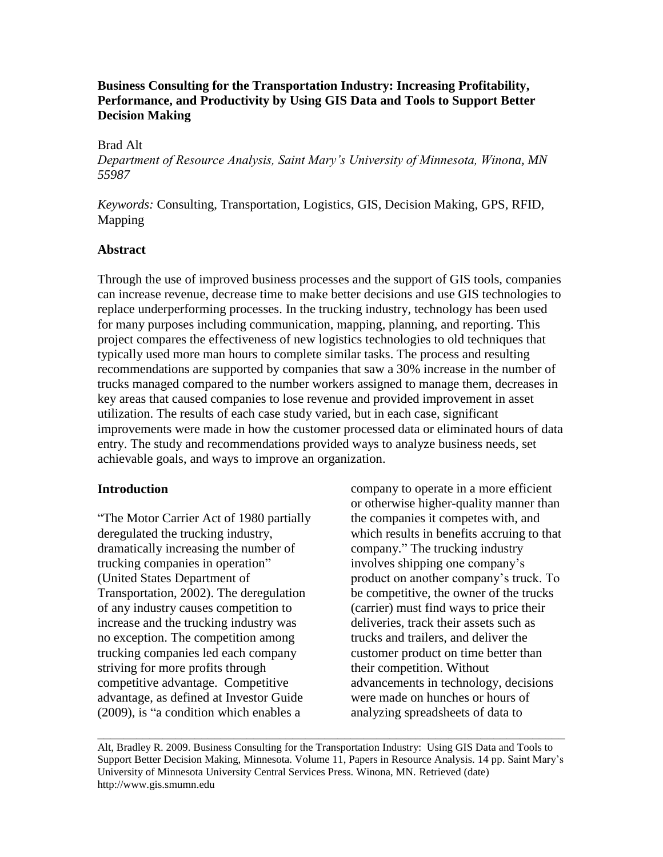# **Business Consulting for the Transportation Industry: Increasing Profitability, Performance, and Productivity by Using GIS Data and Tools to Support Better Decision Making**

#### Brad Alt

*Department of Resource Analysis, Saint Mary's University of Minnesota, Winona, MN 55987*

*Keywords:* Consulting, Transportation, Logistics, GIS, Decision Making, GPS, RFID, Mapping

#### **Abstract**

Through the use of improved business processes and the support of GIS tools, companies can increase revenue, decrease time to make better decisions and use GIS technologies to replace underperforming processes. In the trucking industry, technology has been used for many purposes including communication, mapping, planning, and reporting. This project compares the effectiveness of new logistics technologies to old techniques that typically used more man hours to complete similar tasks. The process and resulting recommendations are supported by companies that saw a 30% increase in the number of trucks managed compared to the number workers assigned to manage them, decreases in key areas that caused companies to lose revenue and provided improvement in asset utilization. The results of each case study varied, but in each case, significant improvements were made in how the customer processed data or eliminated hours of data entry. The study and recommendations provided ways to analyze business needs, set achievable goals, and ways to improve an organization.

#### **Introduction**

"The Motor Carrier Act of 1980 partially deregulated the trucking industry, dramatically increasing the number of trucking companies in operation" (United States Department of Transportation, 2002). The deregulation of any industry causes competition to increase and the trucking industry was no exception. The competition among trucking companies led each company striving for more profits through competitive advantage. Competitive advantage, as defined at Investor Guide (2009), is "a condition which enables a

company to operate in a more efficient or otherwise higher-quality manner than the companies it competes with, and which results in benefits accruing to that company." The trucking industry involves shipping one company's product on another company's truck. To be competitive, the owner of the trucks (carrier) must find ways to price their deliveries, track their assets such as trucks and trailers, and deliver the customer product on time better than their competition. Without advancements in technology, decisions were made on hunches or hours of analyzing spreadsheets of data to

Alt, Bradley R. 2009. Business Consulting for the Transportation Industry: Using GIS Data and Tools to Support Better Decision Making, Minnesota. Volume 11, Papers in Resource Analysis. 14 pp. Saint Mary's University of Minnesota University Central Services Press. Winona, MN. Retrieved (date) http://www.gis.smumn.edu

\_\_\_\_\_\_\_\_\_\_\_\_\_\_\_\_\_\_\_\_\_\_\_\_\_\_\_\_\_\_\_\_\_\_\_\_\_\_\_\_\_\_\_\_\_\_\_\_\_\_\_\_\_\_\_\_\_\_\_\_\_\_\_\_\_\_\_\_\_\_\_\_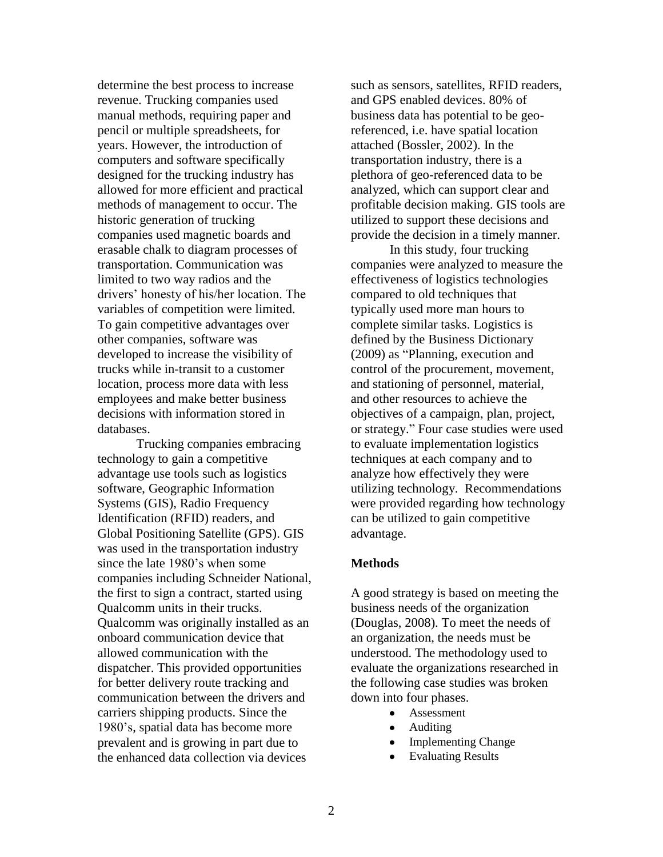determine the best process to increase revenue. Trucking companies used manual methods, requiring paper and pencil or multiple spreadsheets, for years. However, the introduction of computers and software specifically designed for the trucking industry has allowed for more efficient and practical methods of management to occur. The historic generation of trucking companies used magnetic boards and erasable chalk to diagram processes of transportation. Communication was limited to two way radios and the drivers' honesty of his/her location. The variables of competition were limited. To gain competitive advantages over other companies, software was developed to increase the visibility of trucks while in-transit to a customer location, process more data with less employees and make better business decisions with information stored in databases.

Trucking companies embracing technology to gain a competitive advantage use tools such as logistics software, Geographic Information Systems (GIS), Radio Frequency Identification (RFID) readers, and Global Positioning Satellite (GPS). GIS was used in the transportation industry since the late 1980's when some companies including Schneider National, the first to sign a contract, started using Qualcomm units in their trucks. Qualcomm was originally installed as an onboard communication device that allowed communication with the dispatcher. This provided opportunities for better delivery route tracking and communication between the drivers and carriers shipping products. Since the 1980's, spatial data has become more prevalent and is growing in part due to the enhanced data collection via devices

such as sensors, satellites, RFID readers, and GPS enabled devices. 80% of business data has potential to be georeferenced, i.e. have spatial location attached (Bossler, 2002). In the transportation industry, there is a plethora of geo-referenced data to be analyzed, which can support clear and profitable decision making. GIS tools are utilized to support these decisions and provide the decision in a timely manner.

In this study, four trucking companies were analyzed to measure the effectiveness of logistics technologies compared to old techniques that typically used more man hours to complete similar tasks. Logistics is defined by the Business Dictionary (2009) as "Planning, execution and control of the procurement, movement, and stationing of personnel, material, and other resources to achieve the objectives of a campaign, plan, project, or strategy." Four case studies were used to evaluate implementation logistics techniques at each company and to analyze how effectively they were utilizing technology. Recommendations were provided regarding how technology can be utilized to gain competitive advantage.

#### **Methods**

A good strategy is based on meeting the business needs of the organization (Douglas, 2008). To meet the needs of an organization, the needs must be understood. The methodology used to evaluate the organizations researched in the following case studies was broken down into four phases.

- $\bullet$ Assessment
- Auditing  $\bullet$
- Implementing Change
- Evaluating Results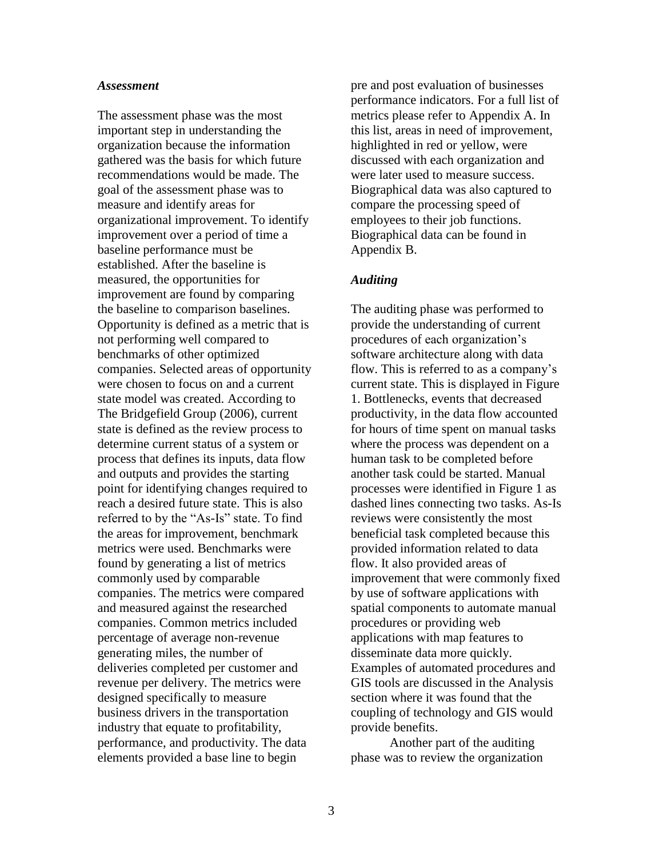#### *Assessment*

The assessment phase was the most important step in understanding the organization because the information gathered was the basis for which future recommendations would be made. The goal of the assessment phase was to measure and identify areas for organizational improvement. To identify improvement over a period of time a baseline performance must be established. After the baseline is measured, the opportunities for improvement are found by comparing the baseline to comparison baselines. Opportunity is defined as a metric that is not performing well compared to benchmarks of other optimized companies. Selected areas of opportunity were chosen to focus on and a current state model was created. According to The Bridgefield Group (2006), current state is defined as the review process to determine current status of a system or process that defines its inputs, data flow and outputs and provides the starting point for identifying changes required to reach a desired future state. This is also referred to by the "As-Is" state. To find the areas for improvement, benchmark metrics were used. Benchmarks were found by generating a list of metrics commonly used by comparable companies. The metrics were compared and measured against the researched companies. Common metrics included percentage of average non-revenue generating miles, the number of deliveries completed per customer and revenue per delivery. The metrics were designed specifically to measure business drivers in the transportation industry that equate to profitability, performance, and productivity. The data elements provided a base line to begin

pre and post evaluation of businesses performance indicators. For a full list of metrics please refer to Appendix A. In this list, areas in need of improvement, highlighted in red or yellow, were discussed with each organization and were later used to measure success. Biographical data was also captured to compare the processing speed of employees to their job functions. Biographical data can be found in Appendix B.

#### *Auditing*

The auditing phase was performed to provide the understanding of current procedures of each organization's software architecture along with data flow. This is referred to as a company's current state. This is displayed in Figure 1. Bottlenecks, events that decreased productivity, in the data flow accounted for hours of time spent on manual tasks where the process was dependent on a human task to be completed before another task could be started. Manual processes were identified in Figure 1 as dashed lines connecting two tasks. As-Is reviews were consistently the most beneficial task completed because this provided information related to data flow. It also provided areas of improvement that were commonly fixed by use of software applications with spatial components to automate manual procedures or providing web applications with map features to disseminate data more quickly. Examples of automated procedures and GIS tools are discussed in the Analysis section where it was found that the coupling of technology and GIS would provide benefits.

Another part of the auditing phase was to review the organization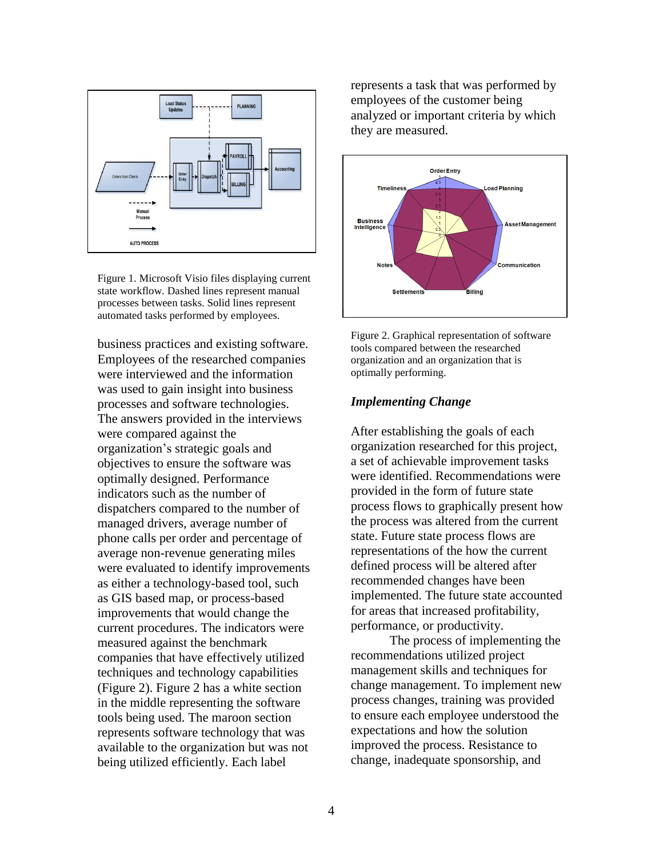

Figure 1. Microsoft Visio files displaying current state workflow. Dashed lines represent manual processes between tasks. Solid lines represent automated tasks performed by employees.

business practices and existing software. Employees of the researched companies were interviewed and the information was used to gain insight into business processes and software technologies. The answers provided in the interviews were compared against the organization's strategic goals and objectives to ensure the software was optimally designed. Performance indicators such as the number of dispatchers compared to the number of managed drivers, average number of phone calls per order and percentage of average non-revenue generating miles were evaluated to identify improvements as either a technology-based tool, such as GIS based map, or process-based improvements that would change the current procedures. The indicators were measured against the benchmark companies that have effectively utilized techniques and technology capabilities (Figure 2). Figure 2 has a white section in the middle representing the software tools being used. The maroon section represents software technology that was available to the organization but was not being utilized efficiently. Each label

represents a task that was performed by employees of the customer being analyzed or important criteria by which they are measured.



Figure 2. Graphical representation of software tools compared between the researched organization and an organization that is optimally performing.

## *Implementing Change*

After establishing the goals of each organization researched for this project, a set of achievable improvement tasks were identified. Recommendations were provided in the form of future state process flows to graphically present how the process was altered from the current state. Future state process flows are representations of the how the current defined process will be altered after recommended changes have been implemented. The future state accounted for areas that increased profitability, performance, or productivity.

The process of implementing the recommendations utilized project management skills and techniques for change management. To implement new process changes, training was provided to ensure each employee understood the expectations and how the solution improved the process. Resistance to change, inadequate sponsorship, and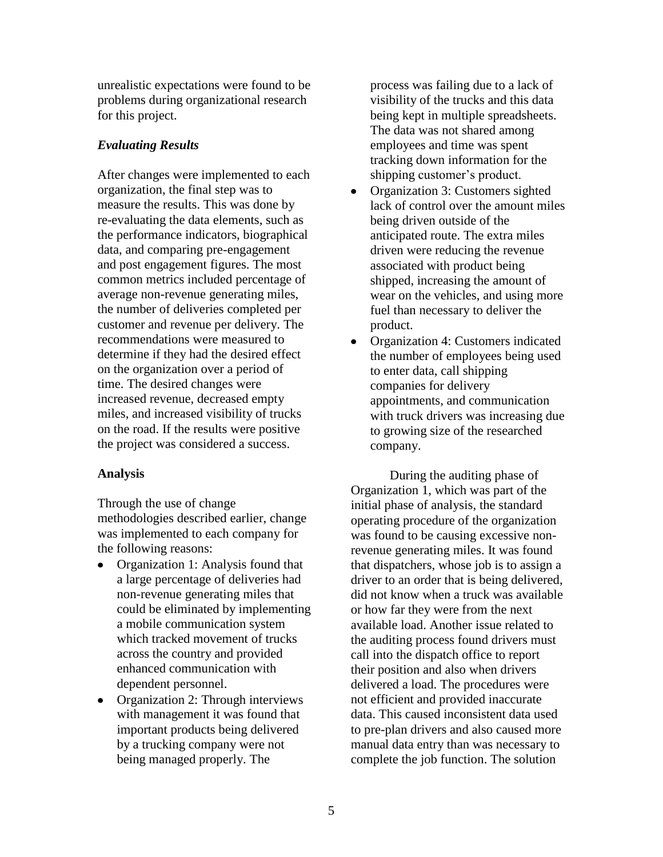unrealistic expectations were found to be problems during organizational research for this project.

## *Evaluating Results*

After changes were implemented to each organization, the final step was to measure the results. This was done by re-evaluating the data elements, such as the performance indicators, biographical data, and comparing pre-engagement and post engagement figures. The most common metrics included percentage of average non-revenue generating miles, the number of deliveries completed per customer and revenue per delivery. The recommendations were measured to determine if they had the desired effect on the organization over a period of time. The desired changes were increased revenue, decreased empty miles, and increased visibility of trucks on the road. If the results were positive the project was considered a success.

## **Analysis**

Through the use of change methodologies described earlier, change was implemented to each company for the following reasons:

- Organization 1: Analysis found that a large percentage of deliveries had non-revenue generating miles that could be eliminated by implementing a mobile communication system which tracked movement of trucks across the country and provided enhanced communication with dependent personnel.
- Organization 2: Through interviews with management it was found that important products being delivered by a trucking company were not being managed properly. The

process was failing due to a lack of visibility of the trucks and this data being kept in multiple spreadsheets. The data was not shared among employees and time was spent tracking down information for the shipping customer's product.

- Organization 3: Customers sighted lack of control over the amount miles being driven outside of the anticipated route. The extra miles driven were reducing the revenue associated with product being shipped, increasing the amount of wear on the vehicles, and using more fuel than necessary to deliver the product.
- $\bullet$ Organization 4: Customers indicated the number of employees being used to enter data, call shipping companies for delivery appointments, and communication with truck drivers was increasing due to growing size of the researched company.

During the auditing phase of Organization 1, which was part of the initial phase of analysis, the standard operating procedure of the organization was found to be causing excessive nonrevenue generating miles. It was found that dispatchers, whose job is to assign a driver to an order that is being delivered, did not know when a truck was available or how far they were from the next available load. Another issue related to the auditing process found drivers must call into the dispatch office to report their position and also when drivers delivered a load. The procedures were not efficient and provided inaccurate data. This caused inconsistent data used to pre-plan drivers and also caused more manual data entry than was necessary to complete the job function. The solution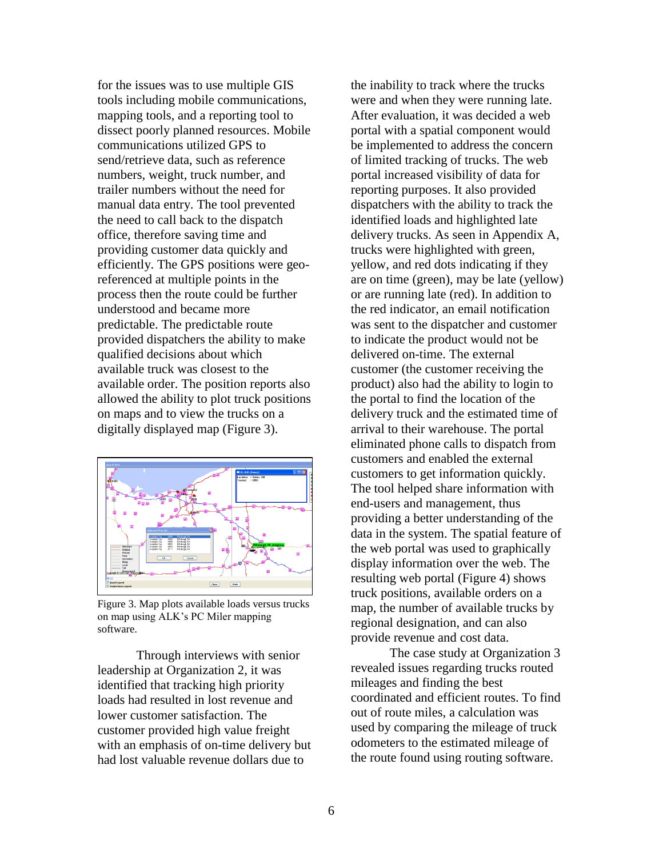for the issues was to use multiple GIS tools including mobile communications, mapping tools, and a reporting tool to dissect poorly planned resources. Mobile communications utilized GPS to send/retrieve data, such as reference numbers, weight, truck number, and trailer numbers without the need for manual data entry. The tool prevented the need to call back to the dispatch office, therefore saving time and providing customer data quickly and efficiently. The GPS positions were georeferenced at multiple points in the process then the route could be further understood and became more predictable. The predictable route provided dispatchers the ability to make qualified decisions about which available truck was closest to the available order. The position reports also allowed the ability to plot truck positions on maps and to view the trucks on a digitally displayed map (Figure 3).



Figure 3. Map plots available loads versus trucks on map using ALK's PC Miler mapping software.

Through interviews with senior leadership at Organization 2, it was identified that tracking high priority loads had resulted in lost revenue and lower customer satisfaction. The customer provided high value freight with an emphasis of on-time delivery but had lost valuable revenue dollars due to

the inability to track where the trucks were and when they were running late. After evaluation, it was decided a web portal with a spatial component would be implemented to address the concern of limited tracking of trucks. The web portal increased visibility of data for reporting purposes. It also provided dispatchers with the ability to track the identified loads and highlighted late delivery trucks. As seen in Appendix A, trucks were highlighted with green, yellow, and red dots indicating if they are on time (green), may be late (yellow) or are running late (red). In addition to the red indicator, an email notification was sent to the dispatcher and customer to indicate the product would not be delivered on-time. The external customer (the customer receiving the product) also had the ability to login to the portal to find the location of the delivery truck and the estimated time of arrival to their warehouse. The portal eliminated phone calls to dispatch from customers and enabled the external customers to get information quickly. The tool helped share information with end-users and management, thus providing a better understanding of the data in the system. The spatial feature of the web portal was used to graphically display information over the web. The resulting web portal (Figure 4) shows truck positions, available orders on a map, the number of available trucks by regional designation, and can also provide revenue and cost data.

The case study at Organization 3 revealed issues regarding trucks routed mileages and finding the best coordinated and efficient routes. To find out of route miles, a calculation was used by comparing the mileage of truck odometers to the estimated mileage of the route found using routing software.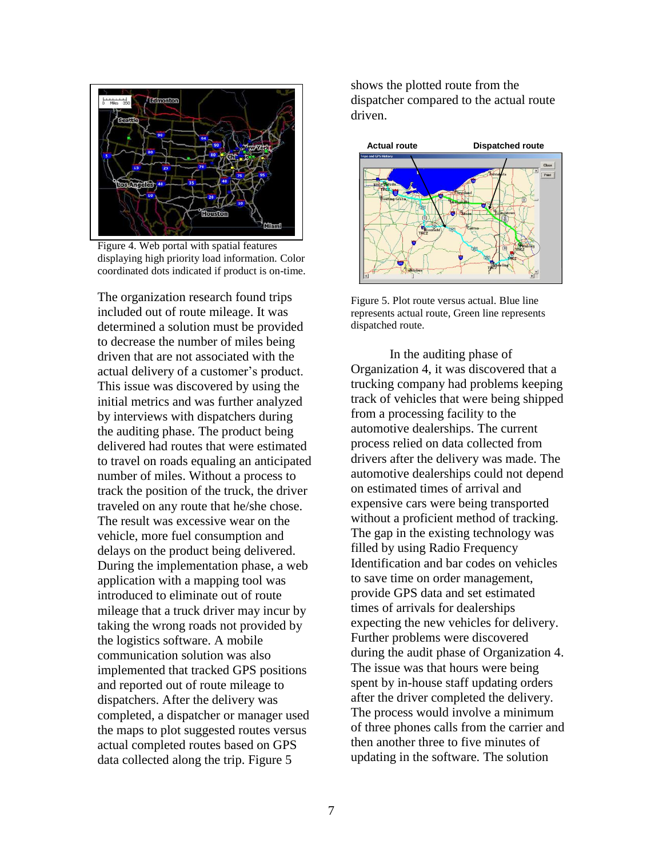

Figure 4. Web portal with spatial features displaying high priority load information. Color coordinated dots indicated if product is on-time.

The organization research found trips included out of route mileage. It was determined a solution must be provided to decrease the number of miles being driven that are not associated with the actual delivery of a customer's product. This issue was discovered by using the initial metrics and was further analyzed by interviews with dispatchers during the auditing phase. The product being delivered had routes that were estimated to travel on roads equaling an anticipated number of miles. Without a process to track the position of the truck, the driver traveled on any route that he/she chose. The result was excessive wear on the vehicle, more fuel consumption and delays on the product being delivered. During the implementation phase, a web application with a mapping tool was introduced to eliminate out of route mileage that a truck driver may incur by taking the wrong roads not provided by the logistics software. A mobile communication solution was also implemented that tracked GPS positions and reported out of route mileage to dispatchers. After the delivery was completed, a dispatcher or manager used the maps to plot suggested routes versus actual completed routes based on GPS data collected along the trip. Figure 5

shows the plotted route from the dispatcher compared to the actual route driven.



Figure 5. Plot route versus actual. Blue line represents actual route, Green line represents dispatched route.

In the auditing phase of Organization 4, it was discovered that a trucking company had problems keeping track of vehicles that were being shipped from a processing facility to the automotive dealerships. The current process relied on data collected from drivers after the delivery was made. The automotive dealerships could not depend on estimated times of arrival and expensive cars were being transported without a proficient method of tracking. The gap in the existing technology was filled by using Radio Frequency Identification and bar codes on vehicles to save time on order management, provide GPS data and set estimated times of arrivals for dealerships expecting the new vehicles for delivery. Further problems were discovered during the audit phase of Organization 4. The issue was that hours were being spent by in-house staff updating orders after the driver completed the delivery. The process would involve a minimum of three phones calls from the carrier and then another three to five minutes of updating in the software. The solution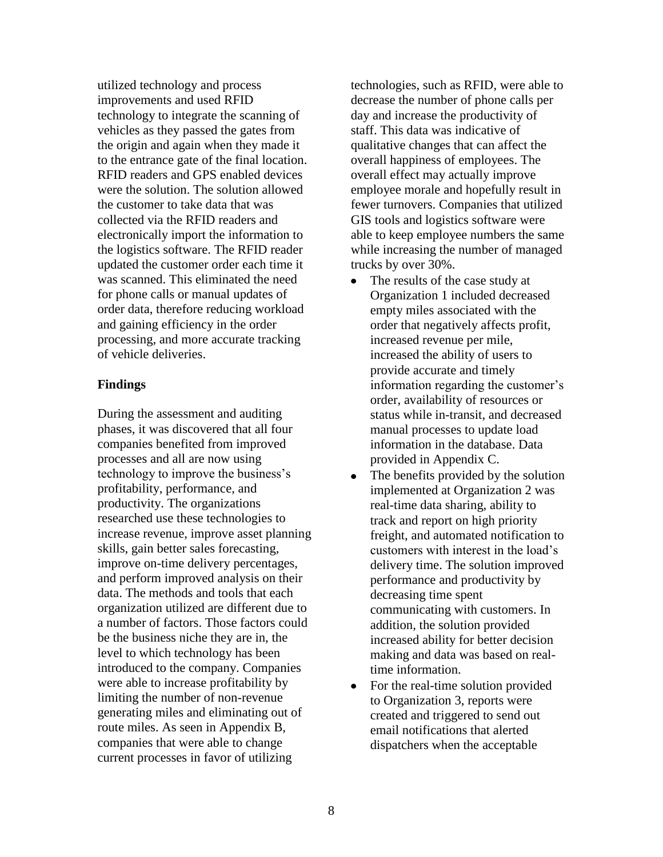utilized technology and process improvements and used RFID technology to integrate the scanning of vehicles as they passed the gates from the origin and again when they made it to the entrance gate of the final location. RFID readers and GPS enabled devices were the solution. The solution allowed the customer to take data that was collected via the RFID readers and electronically import the information to the logistics software. The RFID reader updated the customer order each time it was scanned. This eliminated the need for phone calls or manual updates of order data, therefore reducing workload and gaining efficiency in the order processing, and more accurate tracking of vehicle deliveries.

## **Findings**

During the assessment and auditing phases, it was discovered that all four companies benefited from improved processes and all are now using technology to improve the business's profitability, performance, and productivity. The organizations researched use these technologies to increase revenue, improve asset planning skills, gain better sales forecasting, improve on-time delivery percentages, and perform improved analysis on their data. The methods and tools that each organization utilized are different due to a number of factors. Those factors could be the business niche they are in, the level to which technology has been introduced to the company. Companies were able to increase profitability by limiting the number of non-revenue generating miles and eliminating out of route miles. As seen in Appendix B, companies that were able to change current processes in favor of utilizing

technologies, such as RFID, were able to decrease the number of phone calls per day and increase the productivity of staff. This data was indicative of qualitative changes that can affect the overall happiness of employees. The overall effect may actually improve employee morale and hopefully result in fewer turnovers. Companies that utilized GIS tools and logistics software were able to keep employee numbers the same while increasing the number of managed trucks by over 30%.

- The results of the case study at  $\bullet$ Organization 1 included decreased empty miles associated with the order that negatively affects profit, increased revenue per mile, increased the ability of users to provide accurate and timely information regarding the customer's order, availability of resources or status while in-transit, and decreased manual processes to update load information in the database. Data provided in Appendix C.
- $\bullet$ The benefits provided by the solution implemented at Organization 2 was real-time data sharing, ability to track and report on high priority freight, and automated notification to customers with interest in the load's delivery time. The solution improved performance and productivity by decreasing time spent communicating with customers. In addition, the solution provided increased ability for better decision making and data was based on realtime information.
- For the real-time solution provided to Organization 3, reports were created and triggered to send out email notifications that alerted dispatchers when the acceptable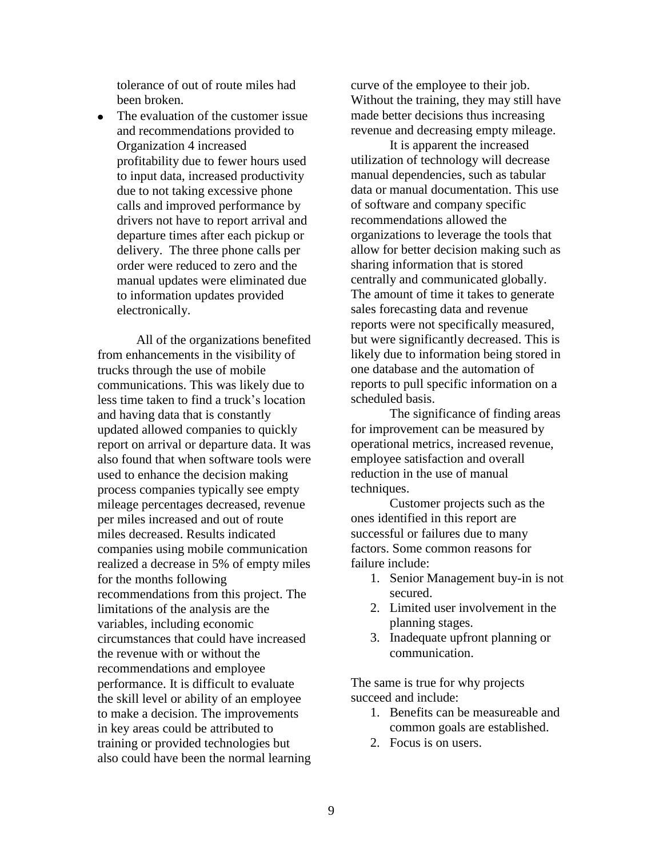tolerance of out of route miles had been broken.

The evaluation of the customer issue and recommendations provided to Organization 4 increased profitability due to fewer hours used to input data, increased productivity due to not taking excessive phone calls and improved performance by drivers not have to report arrival and departure times after each pickup or delivery. The three phone calls per order were reduced to zero and the manual updates were eliminated due to information updates provided electronically.

All of the organizations benefited from enhancements in the visibility of trucks through the use of mobile communications. This was likely due to less time taken to find a truck's location and having data that is constantly updated allowed companies to quickly report on arrival or departure data. It was also found that when software tools were used to enhance the decision making process companies typically see empty mileage percentages decreased, revenue per miles increased and out of route miles decreased. Results indicated companies using mobile communication realized a decrease in 5% of empty miles for the months following recommendations from this project. The limitations of the analysis are the variables, including economic circumstances that could have increased the revenue with or without the recommendations and employee performance. It is difficult to evaluate the skill level or ability of an employee to make a decision. The improvements in key areas could be attributed to training or provided technologies but also could have been the normal learning curve of the employee to their job. Without the training, they may still have made better decisions thus increasing revenue and decreasing empty mileage.

It is apparent the increased utilization of technology will decrease manual dependencies, such as tabular data or manual documentation. This use of software and company specific recommendations allowed the organizations to leverage the tools that allow for better decision making such as sharing information that is stored centrally and communicated globally. The amount of time it takes to generate sales forecasting data and revenue reports were not specifically measured, but were significantly decreased. This is likely due to information being stored in one database and the automation of reports to pull specific information on a scheduled basis.

The significance of finding areas for improvement can be measured by operational metrics, increased revenue, employee satisfaction and overall reduction in the use of manual techniques.

Customer projects such as the ones identified in this report are successful or failures due to many factors. Some common reasons for failure include:

- 1. Senior Management buy-in is not secured.
- 2. Limited user involvement in the planning stages.
- 3. Inadequate upfront planning or communication.

The same is true for why projects succeed and include:

- 1. Benefits can be measureable and common goals are established.
- 2. Focus is on users.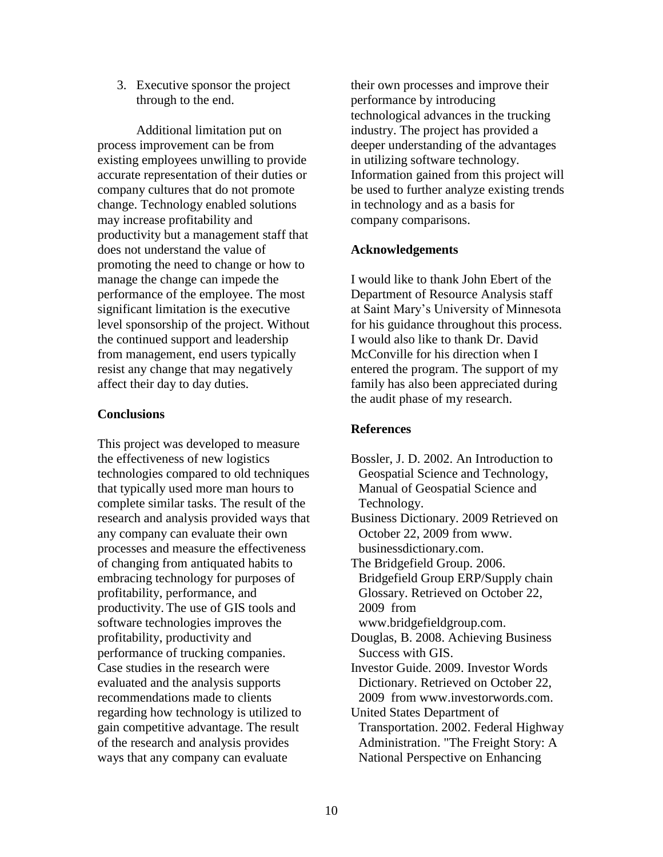3. Executive sponsor the project through to the end.

Additional limitation put on process improvement can be from existing employees unwilling to provide accurate representation of their duties or company cultures that do not promote change. Technology enabled solutions may increase profitability and productivity but a management staff that does not understand the value of promoting the need to change or how to manage the change can impede the performance of the employee. The most significant limitation is the executive level sponsorship of the project. Without the continued support and leadership from management, end users typically resist any change that may negatively affect their day to day duties.

## **Conclusions**

This project was developed to measure the effectiveness of new logistics technologies compared to old techniques that typically used more man hours to complete similar tasks. The result of the research and analysis provided ways that any company can evaluate their own processes and measure the effectiveness of changing from antiquated habits to embracing technology for purposes of profitability, performance, and productivity. The use of GIS tools and software technologies improves the profitability, productivity and performance of trucking companies. Case studies in the research were evaluated and the analysis supports recommendations made to clients regarding how technology is utilized to gain competitive advantage. The result of the research and analysis provides ways that any company can evaluate

their own processes and improve their performance by introducing technological advances in the trucking industry. The project has provided a deeper understanding of the advantages in utilizing software technology. Information gained from this project will be used to further analyze existing trends in technology and as a basis for company comparisons.

# **Acknowledgements**

I would like to thank John Ebert of the Department of Resource Analysis staff at Saint Mary's University of Minnesota for his guidance throughout this process. I would also like to thank Dr. David McConville for his direction when I entered the program. The support of my family has also been appreciated during the audit phase of my research.

# **References**

Bossler, J. D. 2002. An Introduction to Geospatial Science and Technology, Manual of Geospatial Science and Technology.

Business Dictionary. 2009 Retrieved on October 22, 2009 from www. businessdictionary.com.

The Bridgefield Group. 2006. Bridgefield Group ERP/Supply chain Glossary. Retrieved on October 22, 2009 from

www.bridgefieldgroup.com. Douglas, B. 2008. Achieving Business Success with GIS.

Investor Guide. 2009. Investor Words Dictionary. Retrieved on October 22, 2009 from www.investorwords.com.

United States Department of Transportation. 2002. Federal Highway Administration. "The Freight Story: A National Perspective on Enhancing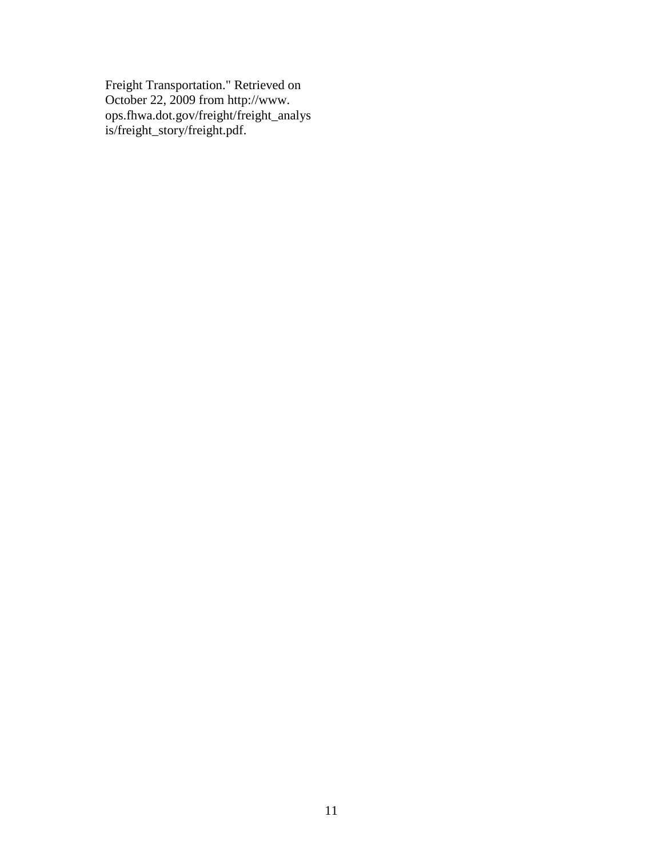Freight Transportation." Retrieved on October 22, 2009 from http://www. ops.fhwa.dot.gov/freight/freight\_analys is/freight\_story/freight.pdf.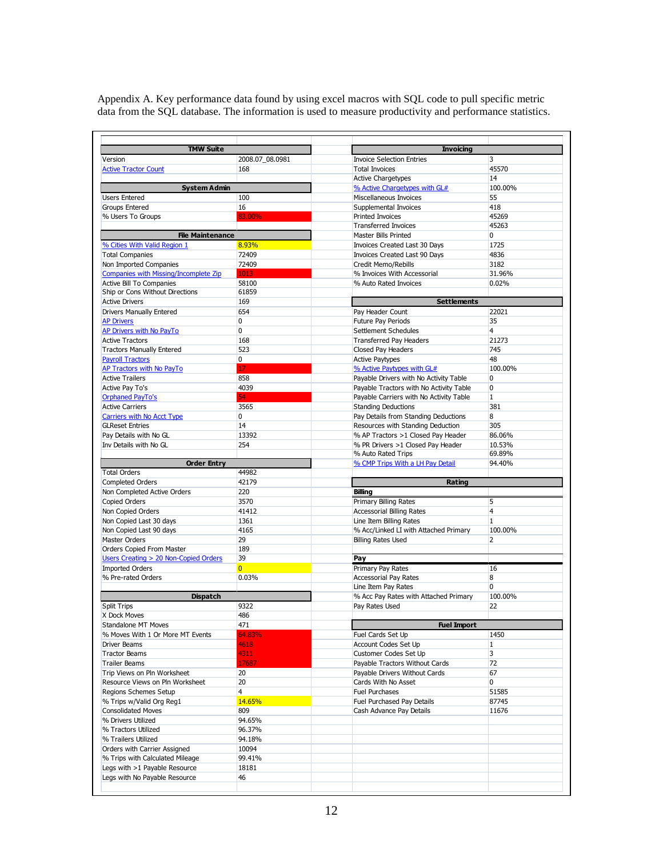Appendix A. Key performance data found by using excel macros with SQL code to pull specific metric data from the SQL database. The information is used to measure productivity and performance statistics.

| <b>TMW Suite</b>                      |                 | <b>Invoicing</b>                                           |                   |
|---------------------------------------|-----------------|------------------------------------------------------------|-------------------|
|                                       |                 | <b>Invoice Selection Entries</b>                           |                   |
| Version                               | 2008.07_08.0981 |                                                            | 3                 |
| <b>Active Tractor Count</b>           | 168             | <b>Total Invoices</b>                                      | 45570<br>14       |
| <b>System Admin</b>                   |                 | <b>Active Chargetypes</b><br>% Active Chargetypes with GL# | 100.00%           |
| <b>Users Entered</b>                  | 100             | Miscellaneous Invoices                                     | 55                |
| Groups Entered                        | 16              |                                                            | 418               |
|                                       |                 | Supplemental Invoices<br><b>Printed Invoices</b>           | 45269             |
| % Users To Groups                     | 83.00%          | <b>Transferred Invoices</b>                                | 45263             |
| <b>File Maintenance</b>               |                 | Master Bills Printed                                       | 0                 |
|                                       |                 |                                                            |                   |
| % Cities With Valid Region 1          | 8.93%           | Invoices Created Last 30 Days                              | 1725              |
| <b>Total Companies</b>                | 72409           | Invoices Created Last 90 Days                              | 4836              |
| Non Imported Companies                | 72409           | Credit Memo/Rebills                                        | 3182              |
| Companies with Missing/Incomplete Zip | 1013            | % Invoices With Accessorial                                | 31.96%            |
| <b>Active Bill To Companies</b>       | 58100           | % Auto Rated Invoices                                      | 0.02%             |
| Ship or Cons Without Directions       | 61859           |                                                            |                   |
| <b>Active Drivers</b>                 | 169             | <b>Settlements</b>                                         |                   |
| Drivers Manually Entered              | 654             | Pay Header Count                                           | 22021             |
| <b>AP Drivers</b>                     | 0               | <b>Future Pay Periods</b>                                  | 35                |
| AP Drivers with No PavTo              | 0               | Settlement Schedules                                       | 4                 |
| <b>Active Tractors</b>                | 168             | <b>Transferred Pay Headers</b>                             | 21273             |
| <b>Tractors Manually Entered</b>      | 523             | Closed Pay Headers                                         | 745               |
| <b>Pavroll Tractors</b>               | 0               | <b>Active Paytypes</b>                                     | 48                |
| AP Tractors with No PayTo             | 17              | % Active Paytypes with GL#                                 | 100.00%           |
| <b>Active Trailers</b>                | 858             | Payable Drivers with No Activity Table                     | 0                 |
| Active Pay To's                       | 4039            | Payable Tractors with No Activity Table                    | 0                 |
| <b>Orphaned PayTo's</b>               | 54              | Payable Carriers with No Activity Table                    | $\mathbf 1$       |
| <b>Active Carriers</b>                | 3565            | <b>Standing Deductions</b>                                 | 381               |
| <b>Carriers with No Acct Type</b>     | $\Omega$        | Pay Details from Standing Deductions                       | 8                 |
| <b>GLReset Entries</b>                | 14              | Resources with Standing Deduction                          | 305               |
| Pav Details with No GL                | 13392           | % AP Tractors >1 Closed Pay Header                         | 86.06%            |
| Inv Details with No GL                | 254             | % PR Drivers >1 Closed Pay Header                          | 10.53%            |
|                                       |                 | % Auto Rated Trips                                         | 69.89%            |
| <b>Order Entry</b>                    |                 | % CMP Trips With a LH Pay Detail                           | 94.40%            |
| <b>Total Orders</b>                   | 44982           |                                                            |                   |
|                                       |                 |                                                            |                   |
| <b>Completed Orders</b>               | 42179           | Rating                                                     |                   |
|                                       | 220             | <b>Billing</b>                                             |                   |
| Non Completed Active Orders           |                 |                                                            |                   |
| Copied Orders                         | 3570<br>41412   | Primary Billing Rates                                      | 5                 |
| Non Copied Orders                     |                 | <b>Accessorial Billing Rates</b>                           | 4<br>$\mathbf{1}$ |
| Non Copied Last 30 days               | 1361            | Line Item Billing Rates                                    |                   |
| Non Copied Last 90 days               | 4165            | % Acc/Linked LI with Attached Primary                      | 100.00%           |
| Master Orders                         | 29              | <b>Billing Rates Used</b>                                  | $\overline{2}$    |
| Orders Copied From Master             | 189             |                                                            |                   |
| Users Creating > 20 Non-Copied Orders | 39              | Pay                                                        |                   |
| <b>Imported Orders</b>                | $\overline{0}$  | Primary Pay Rates                                          | 16                |
| % Pre-rated Orders                    | 0.03%           | <b>Accessorial Pay Rates</b>                               | 8                 |
|                                       |                 | Line Item Pay Rates                                        | 0                 |
| <b>Dispatch</b>                       |                 | % Acc Pay Rates with Attached Primary                      | 100.00%           |
| <b>Split Trips</b>                    | 9322            | Pay Rates Used                                             | 22                |
| X Dock Moves                          | 486             |                                                            |                   |
| Standalone MT Moves                   | 471             | <b>Fuel Import</b>                                         |                   |
| % Moves With 1 Or More MT Events      | 64.83%          | Fuel Cards Set Up                                          | 1450              |
| Driver Beams                          | 4618            | Account Codes Set Up                                       | $\mathbf 1$       |
| <b>Tractor Beams</b>                  | 4311            | Customer Codes Set Up                                      | 3                 |
| <b>Trailer Beams</b>                  | 17687           | Payable Tractors Without Cards                             | 72                |
| Trip Views on Pln Worksheet           | 20              | Payable Drivers Without Cards                              | 67                |
| Resource Views on Pln Worksheet       | 20              | Cards With No Asset                                        | 0                 |
| Regions Schemes Setup                 | 4               | <b>Fuel Purchases</b>                                      | 51585             |
| % Trips w/Valid Org Reg1              | 14.65%          | Fuel Purchased Pay Details                                 | 87745             |
| <b>Consolidated Moves</b>             | 809             | Cash Advance Pay Details                                   | 11676             |
| % Drivers Utilized                    | 94.65%          |                                                            |                   |
| % Tractors Utilized                   | 96.37%          |                                                            |                   |
| % Trailers Utilized                   | 94.18%          |                                                            |                   |
| Orders with Carrier Assigned          | 10094           |                                                            |                   |
| % Trips with Calculated Mileage       | 99.41%          |                                                            |                   |
| Legs with >1 Payable Resource         | 18181           |                                                            |                   |
| Legs with No Payable Resource         | 46              |                                                            |                   |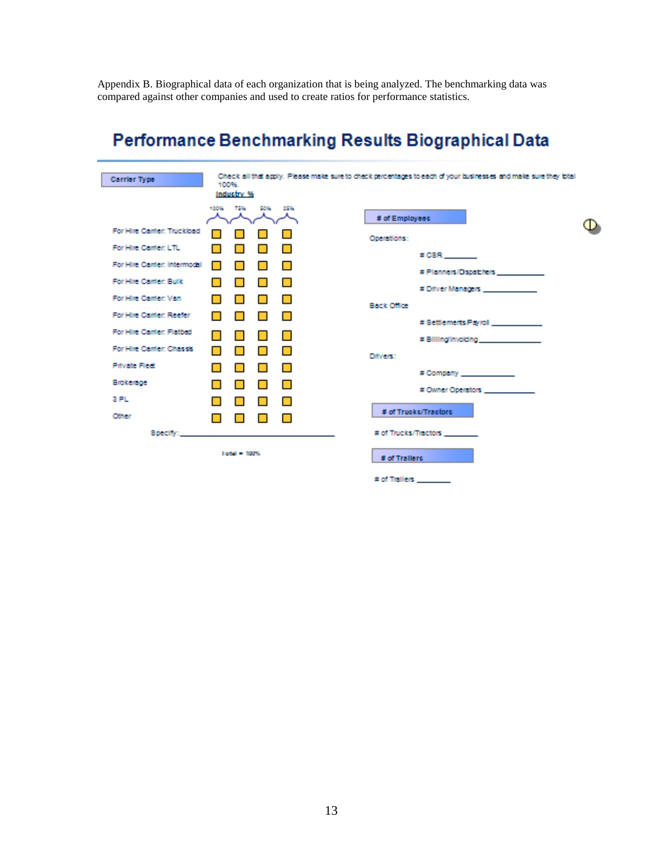Appendix B. Biographical data of each organization that is being analyzed. The benchmarking data was compared against other companies and used to create ratios for performance statistics.

| <b>Carrier Type</b>          | 100%.                              |               |         | Check all that apply. Please make sure to check percentages to each of your businesses and make sure they total |   |
|------------------------------|------------------------------------|---------------|---------|-----------------------------------------------------------------------------------------------------------------|---|
|                              | Industry %                         |               |         |                                                                                                                 |   |
|                              | 100%<br>75%                        |               | EDW 25W | # of Employees                                                                                                  | D |
| For Hire Canter: Truckload   |                                    |               |         | Operations:                                                                                                     |   |
| For Hire Canter: LTL         |                                    |               |         | # CBR                                                                                                           |   |
| For Hire Carrier: Intermodal | . .<br>. .                         |               |         |                                                                                                                 |   |
| For Hire Carrier: Bulk       | $\blacksquare$<br>a s              | ш             |         | # Planners/Dispatchers                                                                                          |   |
| For Hire Carrier: Van        | <b>Tale</b><br>L.                  | . .           |         | # Driver Managers <b>Andrew Street Street Street Street Street</b>                                              |   |
| For Hire Canter: Reefer      | п<br><b>The Contract of Street</b> | <b>Talent</b> |         | <b>Back Office</b>                                                                                              |   |
| For Hire Canter: Flatbed     |                                    |               |         | # Settlements Payroll                                                                                           |   |
|                              | ш                                  | . .           |         |                                                                                                                 |   |
| For Hire Carrier: Chassis    | П<br>L.                            | . .           |         | Drivers:                                                                                                        |   |
| <b>Private Fleet</b>         | П                                  | . .           |         | # Company ___________                                                                                           |   |
| <b>Brokerage</b>             | П                                  | . .           |         | # Owner Operators                                                                                               |   |
| 3 PL                         | <b>The Second Second</b>           | ш             |         |                                                                                                                 |   |
| <b>Other</b>                 | □<br>$\blacksquare$                | <b>COL</b>    |         | # of Trucks/Tractors                                                                                            |   |
| Specify:                     |                                    |               |         | # of Trucks/Tractors                                                                                            |   |
| Total - 100%                 |                                    |               |         | # of Trailers                                                                                                   |   |
|                              |                                    |               |         | # of Trailers                                                                                                   |   |

# Performance Benchmarking Results Biographical Data

13